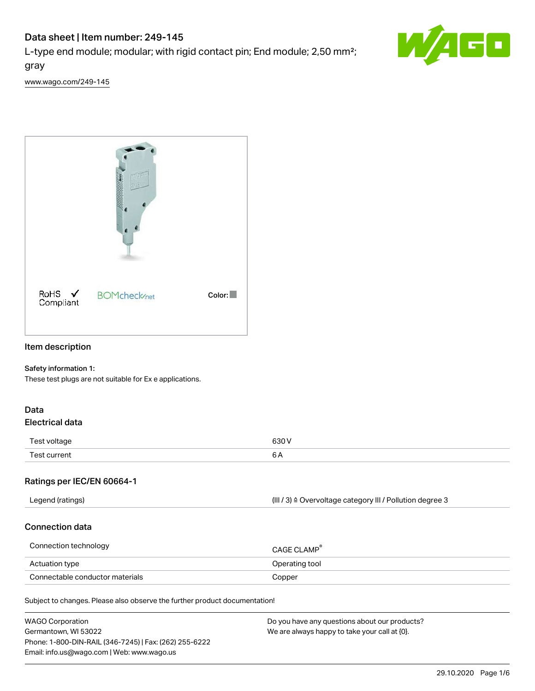# Data sheet | Item number: 249-145

L-type end module; modular; with rigid contact pin; End module; 2,50 mm²; gray



[www.wago.com/249-145](http://www.wago.com/249-145)



# Item description

## Safety information 1:

These test plugs are not suitable for Ex e applications.

## Data Electrical data

| Test voltage      | 630 V                                                |
|-------------------|------------------------------------------------------|
| Test current<br>. | ⌒<br>ັັ<br>$\sim$ $\sim$ $\sim$ $\sim$ $\sim$ $\sim$ |

## Ratings per IEC/EN 60664-1

| Legend (ratings) | (III / 3) ≙ Overvoltage category III / Pollution degree 3 |
|------------------|-----------------------------------------------------------|
|                  |                                                           |

## Connection data

| Connection technology           | <b>CAGE CLAMP</b> <sup>®</sup> |
|---------------------------------|--------------------------------|
| Actuation type                  | Operating tool                 |
| Connectable conductor materials | Copper                         |

Subject to changes. Please also observe the further product documentation!

| <b>WAGO Corporation</b>                                | Do you have any questions about our products? |
|--------------------------------------------------------|-----------------------------------------------|
| Germantown, WI 53022                                   | We are always happy to take your call at {0}. |
| Phone: 1-800-DIN-RAIL (346-7245)   Fax: (262) 255-6222 |                                               |
| Email: info.us@wago.com   Web: www.wago.us             |                                               |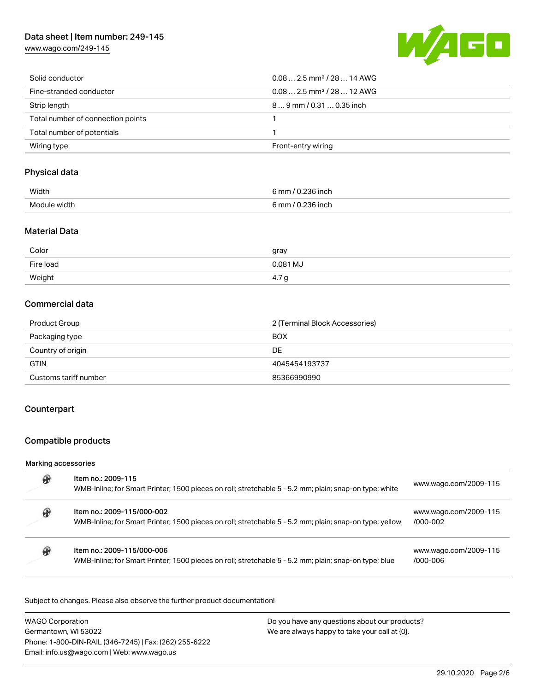# Data sheet | Item number: 249-145

[www.wago.com/249-145](http://www.wago.com/249-145)



| Solid conductor                   | $0.082.5$ mm <sup>2</sup> / 28  14 AWG |
|-----------------------------------|----------------------------------------|
| Fine-stranded conductor           | $0.082.5$ mm <sup>2</sup> / 28  12 AWG |
| Strip length                      | 89 mm / 0.31  0.35 inch                |
| Total number of connection points |                                        |
| Total number of potentials        |                                        |
| Wiring type                       | Front-entry wiring                     |

# Physical data

| Width        | 6 mm / 0.236 inch   |
|--------------|---------------------|
| Module width | $R_{mm}$ / $\Omega$ |
|              | .236 inch           |

## Material Data

| Color     | gray            |
|-----------|-----------------|
| Fire load | 0.081 MJ        |
| Weight    | ⊺C.<br>4.1<br>ີ |

# Commercial data

| Product Group         | 2 (Terminal Block Accessories) |
|-----------------------|--------------------------------|
| Packaging type        | <b>BOX</b>                     |
| Country of origin     | DE                             |
| <b>GTIN</b>           | 4045454193737                  |
| Customs tariff number | 85366990990                    |

# **Counterpart**

## Compatible products

## Marking accessories

| Item no.: 2009-115<br>WMB-Inline; for Smart Printer; 1500 pieces on roll; stretchable 5 - 5.2 mm; plain; snap-on type; white          | www.wago.com/2009-115             |
|---------------------------------------------------------------------------------------------------------------------------------------|-----------------------------------|
| Item no.: 2009-115/000-002<br>WMB-Inline; for Smart Printer; 1500 pieces on roll; stretchable 5 - 5.2 mm; plain; snap-on type; yellow | www.wago.com/2009-115<br>/000-002 |
| Item no.: 2009-115/000-006<br>WMB-Inline; for Smart Printer; 1500 pieces on roll; stretchable 5 - 5.2 mm; plain; snap-on type; blue   | www.wago.com/2009-115<br>/000-006 |

Subject to changes. Please also observe the further product documentation!

| <b>WAGO Corporation</b>                                | Do you have any questions about our products? |
|--------------------------------------------------------|-----------------------------------------------|
| Germantown, WI 53022                                   | We are always happy to take your call at {0}. |
| Phone: 1-800-DIN-RAIL (346-7245)   Fax: (262) 255-6222 |                                               |
| Email: info.us@wago.com   Web: www.wago.us             |                                               |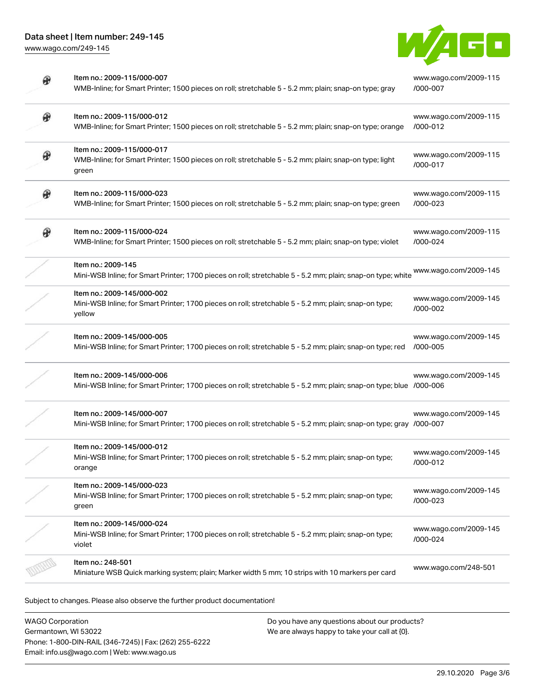

|   | Item no.: 2009-115/000-007<br>WMB-Inline; for Smart Printer; 1500 pieces on roll; stretchable 5 - 5.2 mm; plain; snap-on type; gray               | www.wago.com/2009-115<br>/000-007 |
|---|---------------------------------------------------------------------------------------------------------------------------------------------------|-----------------------------------|
| ₩ | Item no.: 2009-115/000-012<br>WMB-Inline; for Smart Printer; 1500 pieces on roll; stretchable 5 - 5.2 mm; plain; snap-on type; orange             | www.wago.com/2009-115<br>/000-012 |
|   | Item no.: 2009-115/000-017<br>WMB-Inline; for Smart Printer; 1500 pieces on roll; stretchable 5 - 5.2 mm; plain; snap-on type; light<br>green     | www.wago.com/2009-115<br>/000-017 |
| ⊕ | Item no.: 2009-115/000-023<br>WMB-Inline; for Smart Printer; 1500 pieces on roll; stretchable 5 - 5.2 mm; plain; snap-on type; green              | www.wago.com/2009-115<br>/000-023 |
| ⊛ | Item no.: 2009-115/000-024<br>WMB-Inline; for Smart Printer; 1500 pieces on roll; stretchable 5 - 5.2 mm; plain; snap-on type; violet             | www.wago.com/2009-115<br>/000-024 |
|   | Item no.: 2009-145<br>Mini-WSB Inline; for Smart Printer; 1700 pieces on roll; stretchable 5 - 5.2 mm; plain; snap-on type; white                 | www.wago.com/2009-145             |
|   | Item no.: 2009-145/000-002<br>Mini-WSB Inline; for Smart Printer; 1700 pieces on roll; stretchable 5 - 5.2 mm; plain; snap-on type;<br>yellow     | www.wago.com/2009-145<br>/000-002 |
|   | Item no.: 2009-145/000-005<br>Mini-WSB Inline; for Smart Printer; 1700 pieces on roll; stretchable 5 - 5.2 mm; plain; snap-on type; red           | www.wago.com/2009-145<br>/000-005 |
|   | Item no.: 2009-145/000-006<br>Mini-WSB Inline; for Smart Printer; 1700 pieces on roll; stretchable 5 - 5.2 mm; plain; snap-on type; blue /000-006 | www.wago.com/2009-145             |
|   | Item no.: 2009-145/000-007<br>Mini-WSB Inline; for Smart Printer; 1700 pieces on roll; stretchable 5 - 5.2 mm; plain; snap-on type; gray /000-007 | www.wago.com/2009-145             |
|   | Item no.: 2009-145/000-012<br>Mini-WSB Inline; for Smart Printer; 1700 pieces on roll; stretchable 5 - 5.2 mm; plain; snap-on type;<br>orange     | www.wago.com/2009-145<br>/000-012 |
|   | Item no.: 2009-145/000-023<br>Mini-WSB Inline; for Smart Printer; 1700 pieces on roll; stretchable 5 - 5.2 mm; plain; snap-on type;<br>green      | www.wago.com/2009-145<br>/000-023 |
|   | Item no.: 2009-145/000-024<br>Mini-WSB Inline; for Smart Printer; 1700 pieces on roll; stretchable 5 - 5.2 mm; plain; snap-on type;<br>violet     | www.wago.com/2009-145<br>/000-024 |
|   | Item no.: 248-501<br>Miniature WSB Quick marking system; plain; Marker width 5 mm; 10 strips with 10 markers per card                             | www.wago.com/248-501              |

Subject to changes. Please also observe the further product documentation!

WAGO Corporation Germantown, WI 53022 Phone: 1-800-DIN-RAIL (346-7245) | Fax: (262) 255-6222 Email: info.us@wago.com | Web: www.wago.us

Do you have any questions about our products? We are always happy to take your call at {0}.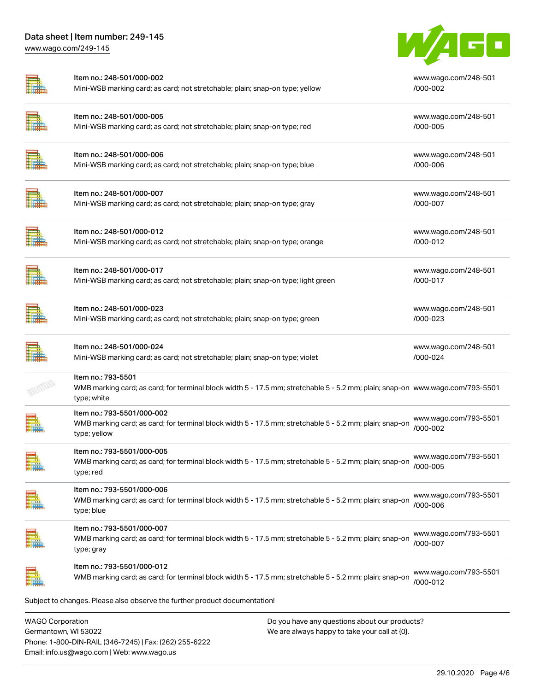

|                         | Item no.: 248-501/000-002<br>Mini-WSB marking card; as card; not stretchable; plain; snap-on type; yellow                                                          | www.wago.com/248-501<br>/000-002     |
|-------------------------|--------------------------------------------------------------------------------------------------------------------------------------------------------------------|--------------------------------------|
|                         | Item no.: 248-501/000-005<br>Mini-WSB marking card; as card; not stretchable; plain; snap-on type; red                                                             | www.wago.com/248-501<br>/000-005     |
|                         | Item no.: 248-501/000-006<br>Mini-WSB marking card; as card; not stretchable; plain; snap-on type; blue                                                            | www.wago.com/248-501<br>/000-006     |
|                         | Item no.: 248-501/000-007<br>Mini-WSB marking card; as card; not stretchable; plain; snap-on type; gray                                                            | www.wago.com/248-501<br>/000-007     |
|                         | Item no.: 248-501/000-012<br>Mini-WSB marking card; as card; not stretchable; plain; snap-on type; orange                                                          | www.wago.com/248-501<br>/000-012     |
|                         | Item no.: 248-501/000-017<br>Mini-WSB marking card; as card; not stretchable; plain; snap-on type; light green                                                     | www.wago.com/248-501<br>/000-017     |
|                         | Item no.: 248-501/000-023<br>Mini-WSB marking card; as card; not stretchable; plain; snap-on type; green                                                           | www.wago.com/248-501<br>$/000 - 023$ |
|                         | Item no.: 248-501/000-024<br>Mini-WSB marking card; as card; not stretchable; plain; snap-on type; violet                                                          | www.wago.com/248-501<br>/000-024     |
|                         | Item no.: 793-5501<br>WMB marking card; as card; for terminal block width 5 - 17.5 mm; stretchable 5 - 5.2 mm; plain; snap-on www.wago.com/793-5501<br>type; white |                                      |
|                         | Item no.: 793-5501/000-002<br>WMB marking card; as card; for terminal block width 5 - 17.5 mm; stretchable 5 - 5.2 mm; plain; snap-on<br>type; yellow              | www.wago.com/793-5501<br>/000-002    |
|                         | Item no.: 793-5501/000-005<br>WMB marking card; as card; for terminal block width 5 - 17.5 mm; stretchable 5 - 5.2 mm; plain; snap-on<br>type; red                 | www.wago.com/793-5501<br>/000-005    |
|                         | Item no.: 793-5501/000-006<br>WMB marking card; as card; for terminal block width 5 - 17.5 mm; stretchable 5 - 5.2 mm; plain; snap-on<br>type; blue                | www.wago.com/793-5501<br>/000-006    |
|                         | Item no.: 793-5501/000-007<br>WMB marking card; as card; for terminal block width 5 - 17.5 mm; stretchable 5 - 5.2 mm; plain; snap-on<br>type; gray                | www.wago.com/793-5501<br>/000-007    |
|                         | Item no.: 793-5501/000-012<br>WMB marking card; as card; for terminal block width 5 - 17.5 mm; stretchable 5 - 5.2 mm; plain; snap-on                              | www.wago.com/793-5501<br>/000-012    |
|                         | Subject to changes. Please also observe the further product documentation!                                                                                         |                                      |
| <b>WAGO Corporation</b> | Do you have any questions about our products?                                                                                                                      |                                      |

Germantown, WI 53022 Phone: 1-800-DIN-RAIL (346-7245) | Fax: (262) 255-6222 Email: info.us@wago.com | Web: www.wago.us

We are always happy to take your call at {0}.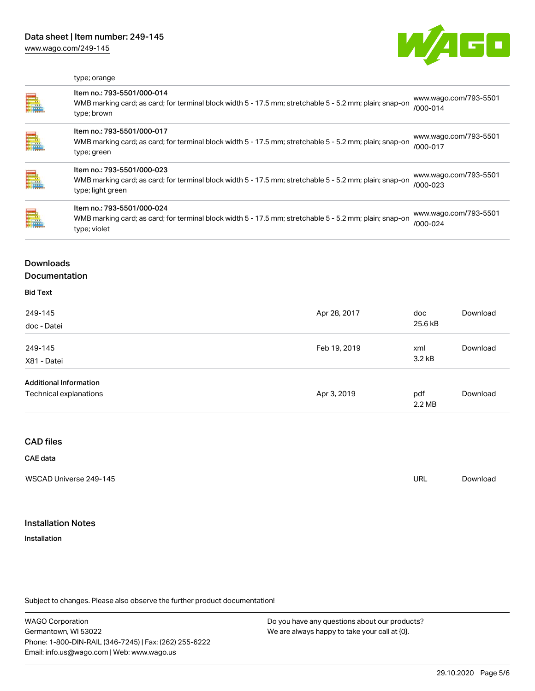

## type; orange

| E. | Item no.: 793-5501/000-014<br>WMB marking card; as card; for terminal block width 5 - 17.5 mm; stretchable 5 - 5.2 mm; plain; snap-on<br>type; brown       | www.wago.com/793-5501<br>/000-014     |
|----|------------------------------------------------------------------------------------------------------------------------------------------------------------|---------------------------------------|
|    | Item no.: 793-5501/000-017<br>WMB marking card; as card; for terminal block width 5 - 17.5 mm; stretchable 5 - 5.2 mm; plain; snap-on<br>type; green       | www.wago.com/793-5501<br>$/000 - 017$ |
|    | Item no.: 793-5501/000-023<br>WMB marking card; as card; for terminal block width 5 - 17.5 mm; stretchable 5 - 5.2 mm; plain; snap-on<br>type; light green | www.wago.com/793-5501<br>/000-023     |
| Ē. | Item no.: 793-5501/000-024<br>WMB marking card; as card; for terminal block width 5 - 17.5 mm; stretchable 5 - 5.2 mm; plain; snap-on<br>type; violet      | www.wago.com/793-5501<br>/000-024     |

# Downloads **Documentation**

## Bid Text

| 249-145<br>doc - Datei                                  | Apr 28, 2017 | doc<br>25.6 kB            | Download |
|---------------------------------------------------------|--------------|---------------------------|----------|
| 249-145<br>X81 - Datei                                  | Feb 19, 2019 | xml<br>3.2 <sub>k</sub> B | Download |
| <b>Additional Information</b><br>Technical explanations | Apr 3, 2019  | pdf<br>$2.2 \text{ MB}$   | Download |

## CAD files

#### CAE data

| WSCAD Universe 249-145 | url | Downloac |
|------------------------|-----|----------|
|                        |     |          |
|                        |     |          |

## Installation Notes

Installation

Subject to changes. Please also observe the further product documentation!

WAGO Corporation Germantown, WI 53022 Phone: 1-800-DIN-RAIL (346-7245) | Fax: (262) 255-6222 Email: info.us@wago.com | Web: www.wago.us

Do you have any questions about our products? We are always happy to take your call at {0}.